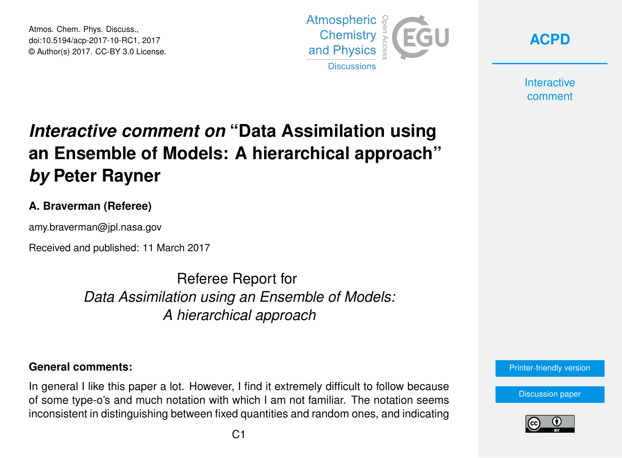Atmos. Chem. Phys. Discuss., doi:10.5194/acp-2017-10-RC1, 2017 © Author(s) 2017. CC-BY 3.0 License.



**[ACPD](http://www.atmos-chem-phys-discuss.net/)**

**Interactive** comment

# *Interactive comment on* **"Data Assimilation using an Ensemble of Models: A hierarchical approach"** *by* **Peter Rayner**

### **A. Braverman (Referee)**

amy.braverman@jpl.nasa.gov

Received and published: 11 March 2017

Referee Report for *Data Assimilation using an Ensemble of Models: A hierarchical approach*

#### **General comments:**

In general I like this paper a lot. However, I find it extremely difficult to follow because of some type-o's and much notation with which I am not familiar. The notation seems inconsistent in distinguishing between fixed quantities and random ones, and indicating



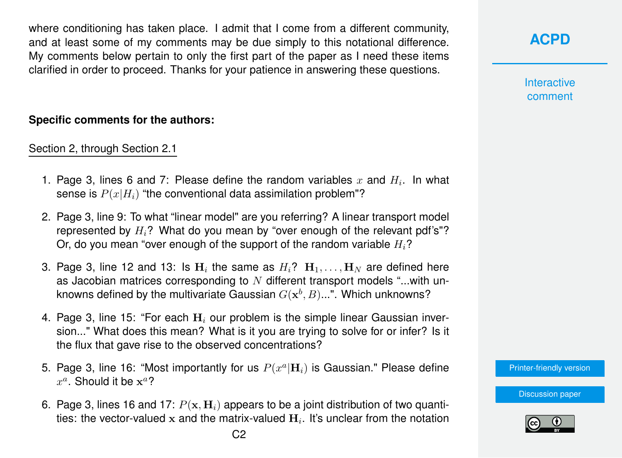where conditioning has taken place. I admit that I come from a different community, and at least some of my comments may be due simply to this notational difference. My comments below pertain to only the first part of the paper as I need these items clarified in order to proceed. Thanks for your patience in answering these questions.

#### **Specific comments for the authors:**

Section 2, through Section 2.1

- 1. Page 3, lines 6 and 7: Please define the random variables  $x$  and  $H_i$ . In what sense is  $P(x|H_i)$  "the conventional data assimilation problem"?
- 2. Page 3, line 9: To what "linear model" are you referring? A linear transport model represented by  $H_i$ ? What do you mean by "over enough of the relevant pdf's"? Or, do you mean "over enough of the support of the random variable  $H_i$ ?
- 3. Page 3, line 12 and 13: Is  $\mathbf{H}_i$  the same as  $H_i$ ?  $\mathbf{H}_1, \ldots, \mathbf{H}_N$  are defined here as Jacobian matrices corresponding to  $N$  different transport models "...with unknowns defined by the multivariate Gaussian  $G(\mathbf{x}^b, B) ...$ ". Which unknowns?
- 4. Page 3, line 15: "For each  $H_i$  our problem is the simple linear Gaussian inversion..." What does this mean? What is it you are trying to solve for or infer? Is it the flux that gave rise to the observed concentrations?
- 5. Page 3, line 16: "Most importantly for us  $P(x^a|{\bf H}_i)$  is Gaussian." Please define  $x^a$ . Should it be  $\mathbf{x}^a$ ?
- 6. Page 3, lines 16 and 17:  $P(x, H<sub>i</sub>)$  appears to be a joint distribution of two quantities: the vector-valued  ${\bf x}$  and the matrix-valued  ${\bf H}_i.$  It's unclear from the notation

**Interactive** comment

[Printer-friendly version](http://www.atmos-chem-phys-discuss.net/acp-2017-10/acp-2017-10-RC1-print.pdf)

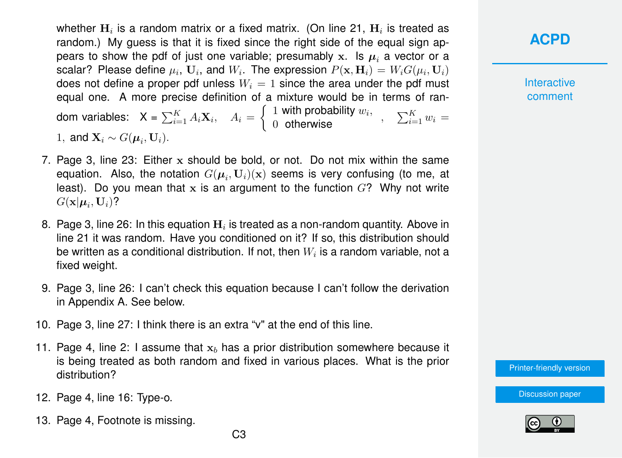whether  $\mathbf{H}_i$  is a random matrix or a fixed matrix. (On line 21,  $\mathbf{H}_i$  is treated as random.) My quess is that it is fixed since the right side of the equal sign appears to show the pdf of just one variable; presumably x. Is  $\mu_i$  a vector or a scalar? Please define  $\mu_i$ ,  ${\bf U}_i$ , and  $W_i$ . The expression  $P({\bf x},{\bf H}_i)=W_iG(\mu_i,{\bf U}_i)$ does not define a proper pdf unless  $W_i = 1$  since the area under the pdf must equal one. A more precise definition of a mixture would be in terms of random variables:  $\mathsf{X} = \sum_{i=1}^K A_i \mathbf{X}_i, \quad A_i = \left\{ \begin{array}{l} 1 \text{ with probability } w_i, \quad , \quad \sum_{i=1}^K w_i = 0 \end{array} \right.$ 1, and  $\mathbf{X}_i \sim G(\boldsymbol{\mu}_i, \mathbf{U}_i)$ .

- 7. Page 3, line 23: Either  $x$  should be bold, or not. Do not mix within the same equation. Also, the notation  $G(\boldsymbol{\mu}_i, \mathbf{U}_i)(\mathbf{x})$  seems is very confusing (to me, at least). Do you mean that x is an argument to the function  $G$ ? Why not write  $G(\mathbf{x}|\boldsymbol{\mu}_i,\mathbf{U}_i)$ ?
- 8. Page 3, line 26: In this equation  $\mathbf{H}_i$  is treated as a non-random quantity. Above in line 21 it was random. Have you conditioned on it? If so, this distribution should be written as a conditional distribution. If not, then  $W_i$  is a random variable, not a fixed weight.
- 9. Page 3, line 26: I can't check this equation because I can't follow the derivation in Appendix A. See below.
- 10. Page 3, line 27: I think there is an extra "v" at the end of this line.
- 11. Page 4, line 2: I assume that  $x<sub>b</sub>$  has a prior distribution somewhere because it is being treated as both random and fixed in various places. What is the prior distribution?
- 12. Page 4, line 16: Type-o.
- 13. Page 4, Footnote is missing.

**Interactive** comment

[Printer-friendly version](http://www.atmos-chem-phys-discuss.net/acp-2017-10/acp-2017-10-RC1-print.pdf)